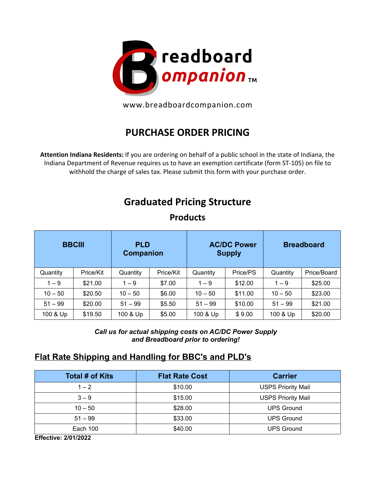

www.breadboardcompanion.com

## **PURCHASE ORDER PRICING**

**Attention Indiana Residents:** If you are ordering on behalf of a public school in the state of Indiana, the Indiana Department of Revenue requires us to have an exemption certificate (form ST-105) on file to withhold the charge of sales tax. Please submit this form with your purchase order.

## **Graduated Pricing Structure**

| <b>BBCIII</b> |           | <b>PLD</b><br>Companion |           | <b>AC/DC Power</b><br><b>Supply</b> |          | <b>Breadboard</b> |             |
|---------------|-----------|-------------------------|-----------|-------------------------------------|----------|-------------------|-------------|
| Quantity      | Price/Kit | Quantity                | Price/Kit | Quantity                            | Price/PS | Quantity          | Price/Board |
| $1 - 9$       | \$21.00   | $1 - 9$                 | \$7.00    | $1 - 9$                             | \$12.00  | $1 - 9$           | \$25.00     |
| $10 - 50$     | \$20.50   | $10 - 50$               | \$6.00    | $10 - 50$                           | \$11.00  | $10 - 50$         | \$23.00     |
| $51 - 99$     | \$20.00   | $51 - 99$               | \$5.50    | $51 - 99$                           | \$10.00  | $51 - 99$         | \$21.00     |
| 100 & Up      | \$19.50   | 100 & Up                | \$5.00    | 100 & Up                            | \$9.00   | 100 & Up          | \$20.00     |

**Products**

*Call us for actual shipping costs on AC/DC Power Supply and Breadboard prior to ordering!* 

## **Flat Rate Shipping and Handling for BBC's and PLD's**

| <b>Total # of Kits</b> | <b>Flat Rate Cost</b> | <b>Carrier</b>            |
|------------------------|-----------------------|---------------------------|
| $1 - 2$                | \$10.00               | <b>USPS Priority Mail</b> |
| $3 - 9$                | \$15.00               | <b>USPS Priority Mail</b> |
| $10 - 50$              | \$28.00               | <b>UPS Ground</b>         |
| $51 - 99$              | \$33.00               | <b>UPS Ground</b>         |
| Each 100               | \$40.00               | <b>UPS Ground</b>         |

**Effective: 2/01/2022**